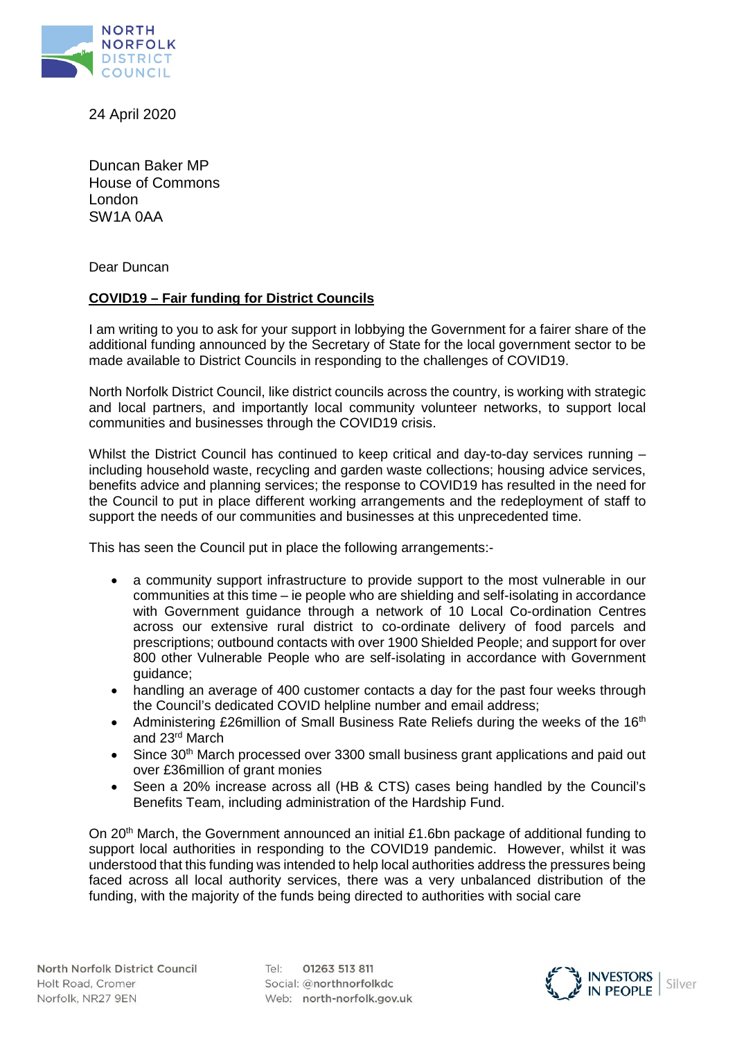

24 April 2020

Duncan Baker MP House of Commons London SW1A 0AA

Dear Duncan

## **COVID19 – Fair funding for District Councils**

I am writing to you to ask for your support in lobbying the Government for a fairer share of the additional funding announced by the Secretary of State for the local government sector to be made available to District Councils in responding to the challenges of COVID19.

North Norfolk District Council, like district councils across the country, is working with strategic and local partners, and importantly local community volunteer networks, to support local communities and businesses through the COVID19 crisis.

Whilst the District Council has continued to keep critical and day-to-day services running – including household waste, recycling and garden waste collections; housing advice services, benefits advice and planning services; the response to COVID19 has resulted in the need for the Council to put in place different working arrangements and the redeployment of staff to support the needs of our communities and businesses at this unprecedented time.

This has seen the Council put in place the following arrangements:-

- a community support infrastructure to provide support to the most vulnerable in our communities at this time – ie people who are shielding and self-isolating in accordance with Government guidance through a network of 10 Local Co-ordination Centres across our extensive rural district to co-ordinate delivery of food parcels and prescriptions; outbound contacts with over 1900 Shielded People; and support for over 800 other Vulnerable People who are self-isolating in accordance with Government guidance;
- handling an average of 400 customer contacts a day for the past four weeks through the Council's dedicated COVID helpline number and email address;
- Administering £26million of Small Business Rate Reliefs during the weeks of the 16<sup>th</sup> and 23rd March
- Since 30<sup>th</sup> March processed over 3300 small business grant applications and paid out over £36million of grant monies
- Seen a 20% increase across all (HB & CTS) cases being handled by the Council's Benefits Team, including administration of the Hardship Fund.

On 20<sup>th</sup> March, the Government announced an initial £1.6bn package of additional funding to support local authorities in responding to the COVID19 pandemic. However, whilst it was understood that this funding was intended to help local authorities address the pressures being faced across all local authority services, there was a very unbalanced distribution of the funding, with the majority of the funds being directed to authorities with social care

01263 513 811  $T \rho$  |  $\cdot$ Social: @northnorfolkdc Web: north-norfolk.gov.uk